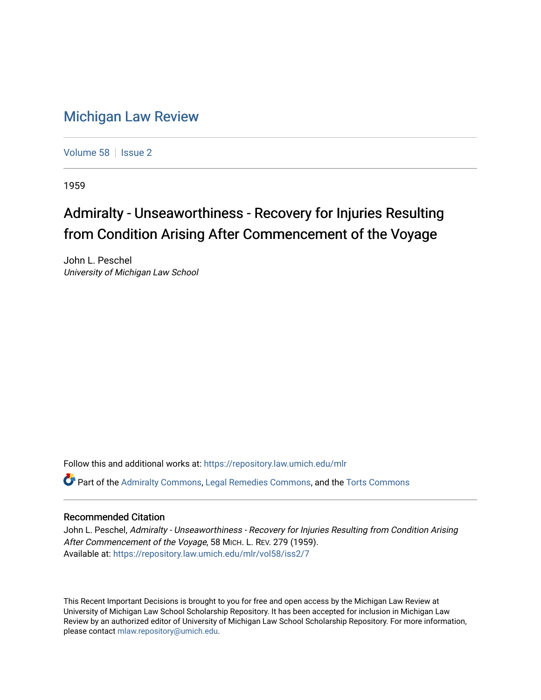## [Michigan Law Review](https://repository.law.umich.edu/mlr)

[Volume 58](https://repository.law.umich.edu/mlr/vol58) | [Issue 2](https://repository.law.umich.edu/mlr/vol58/iss2)

1959

## Admiralty - Unseaworthiness - Recovery for Injuries Resulting from Condition Arising After Commencement of the Voyage

John L. Peschel University of Michigan Law School

Follow this and additional works at: [https://repository.law.umich.edu/mlr](https://repository.law.umich.edu/mlr?utm_source=repository.law.umich.edu%2Fmlr%2Fvol58%2Fiss2%2F7&utm_medium=PDF&utm_campaign=PDFCoverPages) 

Part of the [Admiralty Commons](http://network.bepress.com/hgg/discipline/580?utm_source=repository.law.umich.edu%2Fmlr%2Fvol58%2Fiss2%2F7&utm_medium=PDF&utm_campaign=PDFCoverPages), [Legal Remedies Commons,](http://network.bepress.com/hgg/discipline/618?utm_source=repository.law.umich.edu%2Fmlr%2Fvol58%2Fiss2%2F7&utm_medium=PDF&utm_campaign=PDFCoverPages) and the [Torts Commons](http://network.bepress.com/hgg/discipline/913?utm_source=repository.law.umich.edu%2Fmlr%2Fvol58%2Fiss2%2F7&utm_medium=PDF&utm_campaign=PDFCoverPages) 

## Recommended Citation

John L. Peschel, Admiralty - Unseaworthiness - Recovery for Injuries Resulting from Condition Arising After Commencement of the Voyage, 58 MICH. L. REV. 279 (1959). Available at: [https://repository.law.umich.edu/mlr/vol58/iss2/7](https://repository.law.umich.edu/mlr/vol58/iss2/7?utm_source=repository.law.umich.edu%2Fmlr%2Fvol58%2Fiss2%2F7&utm_medium=PDF&utm_campaign=PDFCoverPages)

This Recent Important Decisions is brought to you for free and open access by the Michigan Law Review at University of Michigan Law School Scholarship Repository. It has been accepted for inclusion in Michigan Law Review by an authorized editor of University of Michigan Law School Scholarship Repository. For more information, please contact [mlaw.repository@umich.edu.](mailto:mlaw.repository@umich.edu)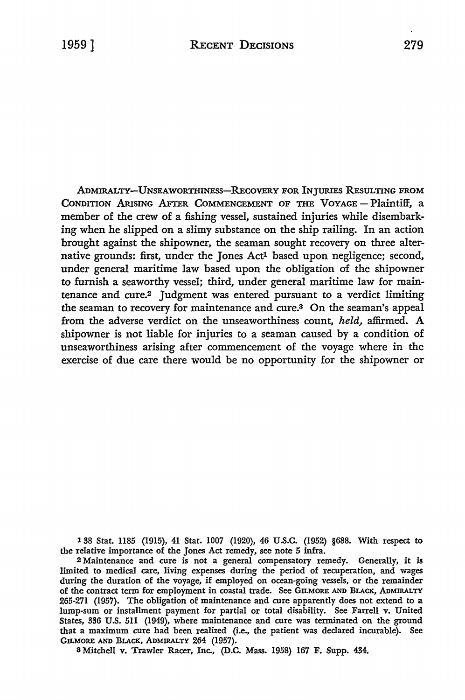ADMIRALTY-UNSEAWORTHINESS-RECOVERY FOR INJURIES RESULTING FROM CONDITION ARISING AFTER COMMENCEMENT OF THE VOYAGE - Plaintiff, a member of the crew of a fishing vessel, sustained injuries while disembarking when he slipped on a slimy substance on the ship railing. In an action brought against the shipowner, the seaman sought recovery on three alternative grounds: first, under the Jones Act1 based upon negligence; second, under general maritime law based upon the obligation of the shipowner to furnish a seaworthy vessel; third, under general maritime law for maintenance and cure.2 Judgment was entered pursuant to a verdict limiting the seaman to recovery for maintenance and cure.3 On the seaman's appeal from the adverse verdict on the unseaworthiness count, *held,* affirmed. A shipowner is not liable for injuries to a seaman caused by a condition of unseaworthiness arising after commencement of the voyage where in the exercise of due care there would be no opportunity for the shipowner or

138 Stat. 1185 (1915), 41 Stat. 1007 (1920), 46 U.S.C. (1952) §688. With respect to the relative importance of the Jones Act remedy, see note 5 infra.

<sup>2</sup>Maintenance and cure is not a general compensatory remedy. Generally, it is limited to medical care, living expenses during the period of recuperation, and wages during the duration of the voyage, if employed on ocean-going vessels, or the remainder of the contract term for employment in coastal trade. See GILMORE AND BLACK, ADMIRALTY 265-271 (1957). The obligation of maintenance and cure apparently does not extend to a lump-sum or installment payment for partial or total disability. See Farrell v. United States, 336 U.S. 511 (1949), where maintenance and cure was terminated on the ground that a maximum cure had been realized (i.e., the patient was declared incurable). See GILMORE AND BLACK, ADMIRALTY 264 (1957).

8 Mitchell v. Trawler Racer, Inc., (D.C. Mass. 1958) 167 F. Supp. 434.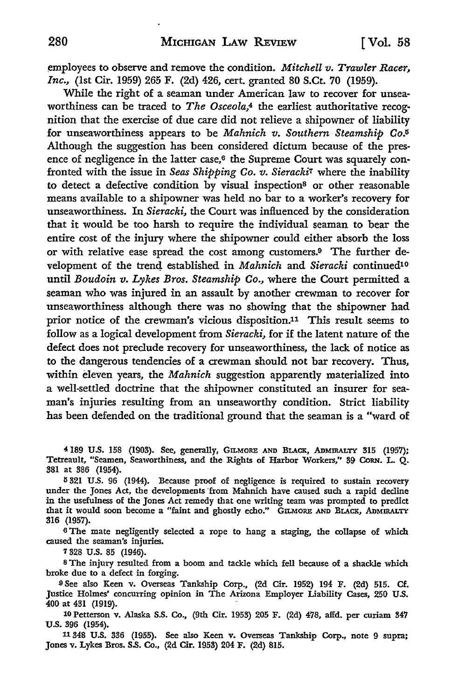tmployees to observe and remove the condition. *Mitchell v. Trawler Racer, Inc.,* (1st Cir. 1959) 265 F. (2d) 426, cert. granted 80 S.Ct. 70 (1959).

While the right of a seaman under American law to recover for unseaworthiness can be traced to *The Osceola,*4 the earliest authoritative recognition that the exercise of due care did not relieve a shipowner of liability for unseaworthiness appears to be *Mahnich v. Southern Steamship Co.IS*  Although the suggestion has been considered dictum because of the presence of negligence in the latter case, $6$  the Supreme Court was squarely confronted with the issue in *Seas Shipping Co. v. Sieracki7* where the inability **to** detect a defective condition by visual inspection8 or other reasonable means available to a shipowner was held no bar to a worker's recovery for unseaworthiness. In *Sieracki,* the Court was influenced by the consideration that it would be too harsh to require the individual seaman to bear the entire cost of the injury where the shipowner could either absorb the loss or with relative ease spread the cost among customers.9 The further development of the trend established in *Mahnich* and *Sieracki* continued<sup>10</sup> until *Boudoin v. Lykes Bros. Steamship Co.,* where the Court permitted a seaman who was injured in an assault by another crewman to recover for unseaworthiness although there was no showing that the shipowner had prior notice of the crewman's vicious disposition.11 This result seems to follow as a logical development from *Sieracki,* for if the latent nature of the defect does not preclude recovery for unseaworthiness, the lack of notice as to the dangerous tendencies of a crewman should not bar recovery. Thus, within eleven years, the *Mahnich* suggestion apparently materialized into a well-settled doctrine that the shipowner constituted an insurer for seaman's injuries resulting from an unseaworthy condition. Strict liability has been defended on the traditional ground that the seaman is a "ward of

4189 U.S. 158 (1903). See, generally, GILMORE AND BLACK, ADMIRALTY 315 (1957): Tetreault, "Seamen, Seaworthiness, and the Rights of Harbor Workers," 39 CoRN. L. Q. 381 at 386 (1954).

IS 321 U.S. 96 (1944). Because proof of negligence is required to sustain recovery under the Jones Act, the developments from Mahnich have caused such a rapid decline in the usefulness of the Jones Act remedy that one writing team was prompted to predict that it would soon become a "faint and ghostly echo." GILMORE AND BLACK, ADMIRALTY 316 (1957).

<sup>6</sup>The mate negligently selected a rope to hang a staging, the collapse of which caused the seaman's injuries.

7 328 U.S. 85 (1946).

s The injury resulted from a boom and tackle which fell because of a shackle which broke due to a defect in forging.

-9 See also Keen v. Overseas Tankship Corp., (2d Cir. 1952) 194 F. (2d) 515. Cf. Justice Holmes' concurring opinion in The Arizona Employer Liability Cases, 250 U.S. 400 at 431 (1919).

10 Petterson v. Alaska S.S. Co., (9th Cir. 1953) 205 F. (2d) 478, alfd. per curiam 347 U.S. 396 (1954).

11348 U.S. 336 (1955). See also Keen v. Overseas Tankship Corp., note 9 supra: Jones v. Lykes Bros. S.S. Co., (2d Cir. 1953) 204 F. (2d) 815.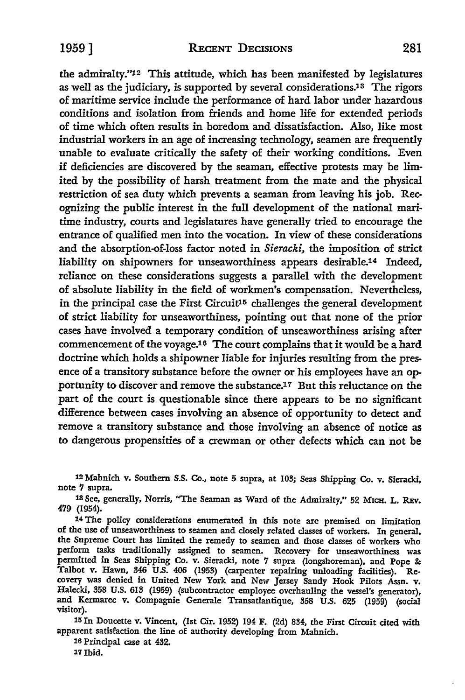the admiralty."12 This attitude, which has been manifested by legislatures as well as the judiciary, is supported by several considerations.13 The rigors of maritime service include the performance of hard labor under hazardous conditions and isolation from friends and home life for extended periods of time which often results in boredom and dissatisfaction. Also, like most industrial workers in an age of increasing technology, seamen are frequently unable to evaluate critically the safety of their working conditions. Even if deficiencies are discovered by the seaman, effective protests may be limited by the possibility of harsh treatment from the mate and the physical restriction of sea duty which prevents a seaman from leaving his job. Recognizing the public interest in the full development of the national maritime industry, courts and legislatures have generally tried to encourage the entrance of qualified men into the vocation. In view of these considerations and the absorption-of-loss factor noted in *Sieracki,* the imposition of strict liability on shipowners for unseaworthiness appears desirable.14 Indeed, reliance on these considerations suggests a parallel with the development of absolute liability in the field of workmen's compensation. Nevertheless, in the principal case the First Circuit<sup>15</sup> challenges the general development of strict liability for unseaworthiness, pointing out that none of the prior cases have involved a temporary condition of unseaworthiness arising after commencement of the voyage.16 The court complains that it would be a hard doctrine which holds a shipowner liable for injuries resulting from the presence of a transitory substance before the owner or his employees have an opportunity to discover and remove the substance.17 But this reluctance on the part of the court is questionable since there appears to be no significant difference between cases involving an absence of opportunity to detect and remove a transitory substance and those involving an absence of notice as to dangerous propensities of a crewman or other defects which can not be

12 Mahnich v. Southern S.S. Co., note 5 supra, at 103; Seas Shipping Co. v. Sieracki, note 7 supra.

13 See, generally, Norris, "The Seaman as Ward of the Admiralty," 52 MICH. L. REv. 479 (1954).

<sup>14</sup>The policy considerations enumerated in this note are premised on limitation of the use of unseaworthiness to seamen and closely related classes of workers. In general, the Supreme Court has limited the remedy to seamen and those classes of workers who perform tasks traditionally assigned to seamen. Recovery for unseaworthiness was permitted in Seas Shipping Co. v. Sieracki, note 7 supra (longshoreman), and Pope &: Talbot v. Hawn, 346 U.S. 406 (1953) (carpenter repairing unloading facilities). Recovery was denied in United New York and New Jersey Sandy Hook Pilots Assn. v. Halecki, 358 U.S. 613 (1959) (subcontractor employee overhauling the vessel's generator), and Kermarec v. Compagnie Generale Transatlantique, 358 U.S. 625 (1959) (social visitor).

15 In Doucette v. Vincent, (1st Cir. 1952) 194 F. (2d) 834, the First Circuit cited with apparent satisfaction the line of authority developing from Mahnich.

16 Principal case at 432. 17Ibid.